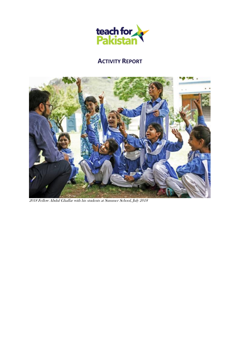

# **ACTIVITY REPORT**



2018 Fellow Abdul Ghaffar with his students at Summer School, July 2018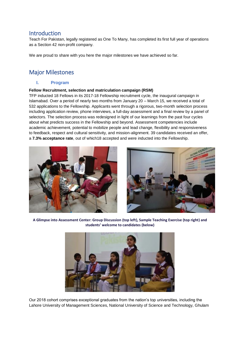## Introduction

Teach For Pakistan, legally registered as One To Many, has completed its first full year of operations as a Section 42 non-profit company.

We are proud to share with you here the major milestones we have achieved so far.

## Major Milestones

## **I. Program**

### **Fellow Recruitment, selection and matriculation campaign (RSM)**

TFP inducted 18 Fellows in its 2017-18 Fellowship recruitment cycle, the inaugural campaign in Islamabad. Over a period of nearly two months from January 20 – March 15, we received a total of 532 applications to the Fellowship. Applicants went through a rigorous, two-month selection process including application review, phone interviews, a full-day assessment and a final review by a panel of selectors. The selection process was redesigned in light of our learnings from the past four cycles about what predicts success in the Fellowship and beyond. Assessment competencies include academic achievement, potential to mobilize people and lead change, flexibility and responsiveness to feedback, respect and cultural sensitivity, and mission-alignment. 39 candidates received an offer, a **7.3% acceptance rate**, out of which18 accepted and were inducted into the Fellowship.





**A Glimpse into Assessment Center: Group Discussion (top left), Sample Teaching Exercise (top right) and students' welcome to candidates (below)**



Our 2018 cohort comprises exceptional graduates from the nation's top universities, including the Lahore University of Management Sciences, National University of Science and Technology, Ghulam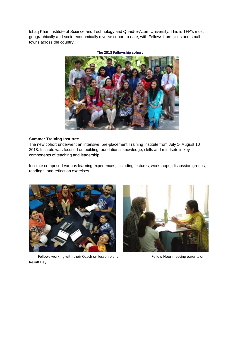Ishaq Khan Institute of Science and Technology and Quaid-e-Azam University. This is TFP's most geographically and socio-economically diverse cohort to date, with Fellows from cities and small towns across the country.



**The 2018 Fellowship cohort**

#### **Summer Training Institute**

The new cohort underwent an intensive, pre-placement Training Institute from July 1- August 10 2018. Institute was focused on building foundational knowledge, skills and mindsets in key components of teaching and leadership.

Institute comprised various learning experiences, including lectures, workshops, discussion groups, readings, and reflection exercises.



Fellows working with their Coach on lesson plans Fellow Noor meeting parents on Result Day

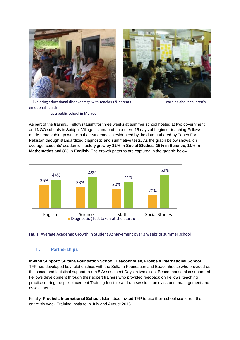



 Exploring educational disadvantage with teachers & parents Learning about children's emotional health

#### at a public school in Murree

As part of the training, Fellows taught for three weeks at summer school hosted at two government and NGO schools in Saidpur Village, Islamabad. In a mere 15 days of beginner teaching Fellows made remarkable growth with their students, as evidenced by the data gathered by Teach For Pakistan through standardized diagnostic and summative tests. As the graph below shows, on average, students' academic mastery grew by **32% in Social Studies**, **15% in Science**, **11% in Mathematics** and **8% in English**. The growth patterns are captured in the graphic below.



### Fig. 1: Average Academic Growth in Student Achievement over 3 weeks of summer school

## **II. Partnerships**

**In-kind Support: Sultana Foundation School, Beaconhouse, Froebels International School** TFP has developed key relationships with the Sultana Foundation and Beaconhouse who provided us the space and logistical support to run 8 Assessment Days in two cities. Beaconhouse also supported Fellows development through their expert trainers who provided feedback on Fellows' teaching practice during the pre-placement Training Institute and ran sessions on classroom management and assessments.

Finally, **Froebels International School,** Islamabad invited TFP to use their school site to run the entire six week Training Institute in July and August 2018.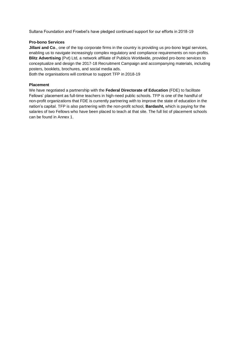Sultana Foundation and Froebel's have pledged continued support for our efforts in 2018-19

#### **Pro-bono Services**

**Jillani and Co**., one of the top corporate firms in the country is providing us pro-bono legal services, enabling us to navigate increasingly complex regulatory and compliance requirements on non-profits. **Blitz Advertising** (Pvt) Ltd, a network affiliate of Publicis Worldwide, provided pro-bono services to conceptualize and design the 2017-18 Recruitment Campaign and accompanying materials, including posters, booklets, brochures, and social media ads.

Both the organisations will continue to support TFP in 2018-19

#### **Placement**

We have negotiated a partnership with the **Federal Directorate of Education** (FDE) to facilitate Fellows' placement as full-time teachers in high-need public schools. TFP is one of the handful of non-profit organizations that FDE is currently partnering with to improve the state of education in the nation's capital. TFP is also partnering with the non-profit school, **Bardasht,** which is paying for the salaries of two Fellows who have been placed to teach at that site. The full list of placement schools can be found in Annex 1.